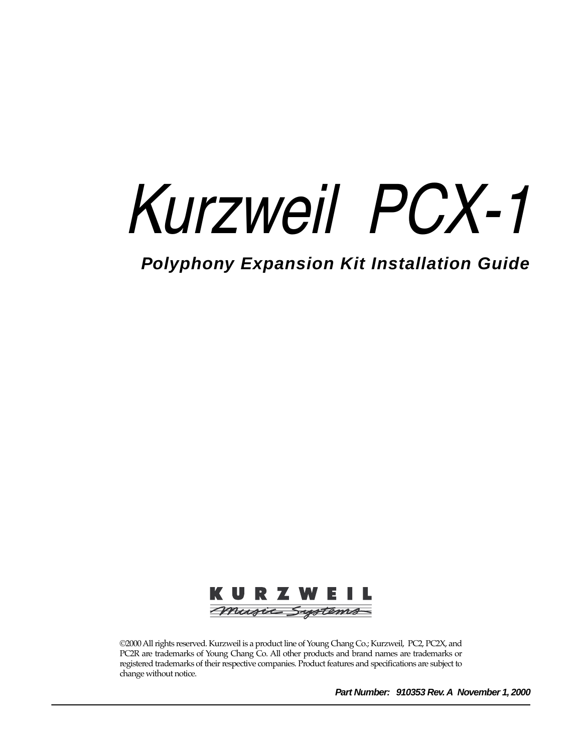# *Kurzweil PCX-1*

**Polyphony Expansion Kit Installation Guide**



©2000 All rights reserved. Kurzweil is a product line of Young Chang Co.; Kurzweil, PC2, PC2X, and PC2R are trademarks of Young Chang Co. All other products and brand names are trademarks or registered trademarks of their respective companies. Product features and specifications are subject to change without notice.

**Part Number: 910353 Rev. A November 1, 2000**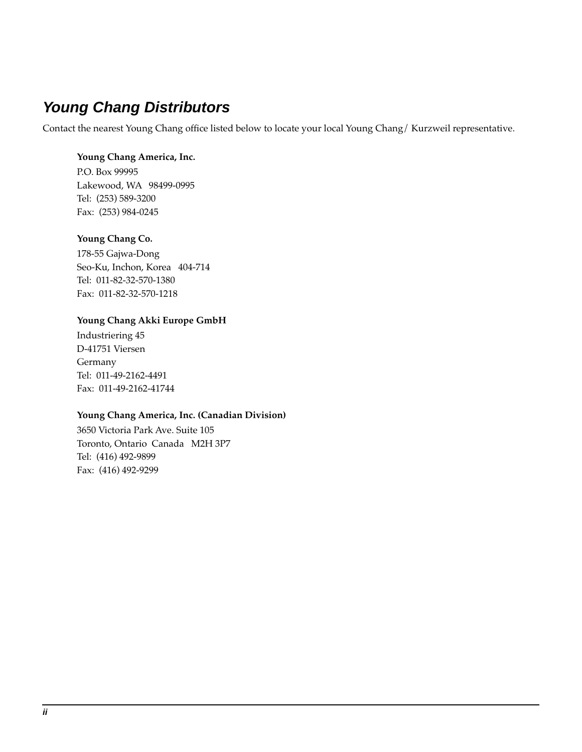# **Young Chang Distributors**

Contact the nearest Young Chang office listed below to locate your local Young Chang/ Kurzweil representative.

#### **Young Chang America, Inc.**

P.O. Box 99995 Lakewood, WA 98499-0995 Tel: (253) 589-3200 Fax: (253) 984-0245

#### **Young Chang Co.**

178-55 Gajwa-Dong Seo-Ku, Inchon, Korea 404-714 Tel: 011-82-32-570-1380 Fax: 011-82-32-570-1218

#### **Young Chang Akki Europe GmbH**

Industriering 45 D-41751 Viersen Germany Tel: 011-49-2162-4491 Fax: 011-49-2162-41744

#### **Young Chang America, Inc. (Canadian Division)**

3650 Victoria Park Ave. Suite 105 Toronto, Ontario Canada M2H 3P7 Tel: (416) 492-9899 Fax: (416) 492-9299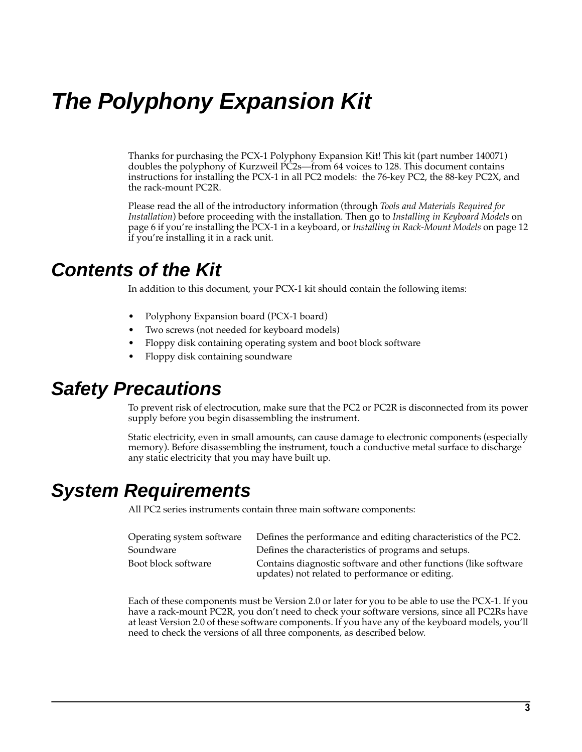# **The Polyphony Expansion Kit**

Thanks for purchasing the PCX-1 Polyphony Expansion Kit! This kit (part number 140071) doubles the polyphony of Kurzweil PC2s—from 64 voices to 128. This document contains instructions for installing the PCX-1 in all PC2 models: the 76-key PC2, the 88-key PC2X, and the rack-mount PC2R.

Please read the all of the introductory information (through *T[ools and Materials Required for](#page-4-0)  [Installation](#page-4-0)*) before proceeding with the installation. Then go to *I[nstalling in Keyboard Models](#page-5-0)* on [page 6](#page-5-0) if you're installing the PCX-1 in a keyboard, or *[Installing in Rack-Mount Models](#page-11-0)* on [page 12](#page-11-0)  if you're installing it in a rack unit.

# **Contents of the Kit**

In addition to this document, your PCX-1 kit should contain the following items:

- Polyphony Expansion board (PCX-1 board)
- Two screws (not needed for keyboard models)
- Floppy disk containing operating system and boot block software
- Floppy disk containing soundware

# **Safety Precautions**

To prevent risk of electrocution, make sure that the PC2 or PC2R is disconnected from its power supply before you begin disassembling the instrument.

Static electricity, even in small amounts, can cause damage to electronic components (especially memory). Before disassembling the instrument, touch a conductive metal surface to discharge any static electricity that you may have built up.

# **System Requirements**

All PC2 series instruments contain three main software components:

| Operating system software | Defines the performance and editing characteristics of the PC2.                                                    |
|---------------------------|--------------------------------------------------------------------------------------------------------------------|
| Soundware                 | Defines the characteristics of programs and setups.                                                                |
| Boot block software       | Contains diagnostic software and other functions (like software<br>updates) not related to performance or editing. |

Each of these components must be Version 2.0 or later for you to be able to use the PCX-1. If you have a rack-mount PC2R, you don't need to check your software versions, since all PC2Rs have at least Version 2.0 of these software components. If you have any of the keyboard models, you'll need to check the versions of all three components, as described below.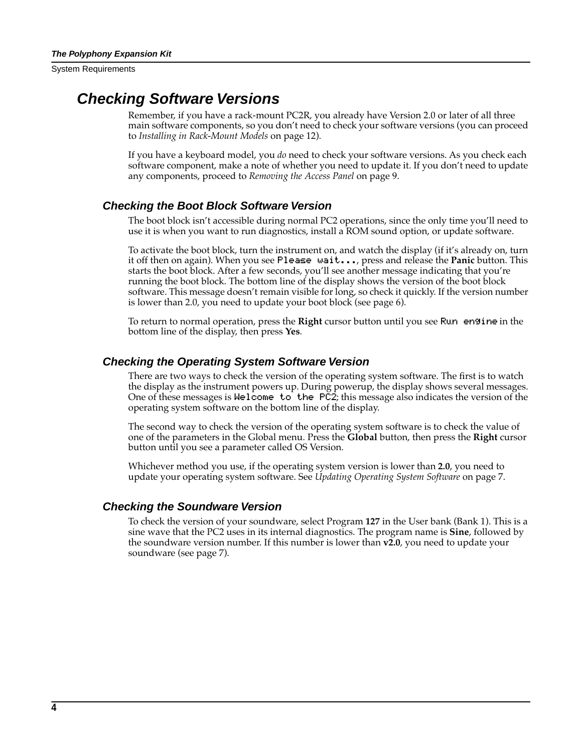<span id="page-3-0"></span>System Requirements

### **Checking Software Versions**

Remember, if you have a rack-mount PC2R, you already have Version 2.0 or later of all three main software components, so you don't need to check your software versions (you can proceed to *[Installing in Rack-Mount Models](#page-11-0)* on [page 12](#page-11-0)).

If you have a keyboard model, you *do* need to check your software versions. As you check each software component, make a note of whether you need to update it. If you don't need to update any components, proceed to *[Removing the Access Pane](#page-8-0)l* o[n page](#page-8-0) 9.

#### **Checking the Boot Block Software Version**

The boot block isn't accessible during normal PC2 operations, since the only time you'll need to use it is when you want to run diagnostics, install a ROM sound option, or update software.

To activate the boot block, turn the instrument on, and watch the display (if it's already on, turn it off then on again). When you see Please wait..., press and release the **Panic** button. This starts the boot block. After a few seconds, you'll see another message indicating that you're running the boot block. The bottom line of the display shows the version of the boot block software. This message doesn't remain visible for long, so check it quickly. If the version number is lower than 2.0, you need to update your boot block (se[e page 6](#page-5-0)).

To return to normal operation, press the **Right** cursor button until you see Run|engine in the bottom line of the display, then press **Yes**.

#### **Checking the Operating System Software Version**

There are two ways to check the version of the operating system software. The first is to watch the display as the instrument powers up. During powerup, the display shows several messages. One of these messages is <code>Welcome to the PC2</code>; this message also indicates the version of the  $\,$ operating system software on the bottom line of the display.

The second way to check the version of the operating system software is to check the value of one of the parameters in the Global menu. Press the **Global** button, then press the **Right** cursor button until you see a parameter called OS Version.

Whichever method you use, if the operating system version is lower than **2.0**, you need to update your operating system software. See *[Updating Operating System Software](#page-6-0)* on [page 7](#page-6-0).

#### **Checking the Soundware Version**

To check the version of your soundware, select Program **127** in the User bank (Bank 1). This is a sine wave that the PC2 uses in its internal diagnostics. The program name is **Sine**, followed by the soundware version number. If this number is lower than **v2.0**, you need to update your soundware (see [page 7](#page-6-0)).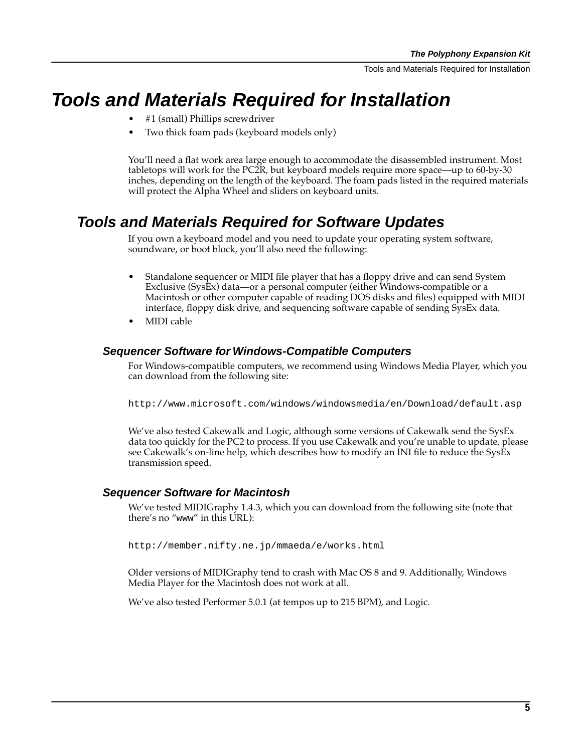Tools and Materials Required for Installation

# <span id="page-4-0"></span>**Tools and Materials Required for Installation**

- #1 (small) Phillips screwdriver
- Two thick foam pads (keyboard models only)

You'll need a flat work area large enough to accommodate the disassembled instrument. Most tabletops will work for the PC2R, but keyboard models require more space—up to 60-by-30 inches, depending on the length of the keyboard. The foam pads listed in the required materials will protect the Alpha Wheel and sliders on keyboard units.

## **Tools and Materials Required for Software Updates**

If you own a keyboard model and you need to update your operating system software, soundware, or boot block, you'll also need the following:

- Standalone sequencer or MIDI file player that has a floppy drive and can send System Exclusive (SysEx) data—or a personal computer (either Windows-compatible or a Macintosh or other computer capable of reading DOS disks and files) equipped with MIDI interface, floppy disk drive, and sequencing software capable of sending SysEx data.
- MIDI cable

#### **Sequencer Software for Windows-Compatible Computers**

For Windows-compatible computers, we recommend using Windows Media Player, which you can download from the following site:

http://www.microsoft.com/windows/windowsmedia/en/Download/default.asp

We've also tested Cakewalk and Logic, although some versions of Cakewalk send the SysEx data too quickly for the PC2 to process. If you use Cakewalk and you're unable to update, please see Cakewalk's on-line help, which describes how to modify an INI file to reduce the SysEx transmission speed.

#### **Sequencer Software for Macintosh**

We've tested MIDIGraphy 1.4.3, which you can download from the following site (note that there's no "www" in this URL):

http://member.nifty.ne.jp/mmaeda/e/works.html

Older versions of MIDIGraphy tend to crash with Mac OS 8 and 9. Additionally, Windows Media Player for the Macintosh does not work at all.

We've also tested Performer 5.0.1 (at tempos up to 215 BPM), and Logic.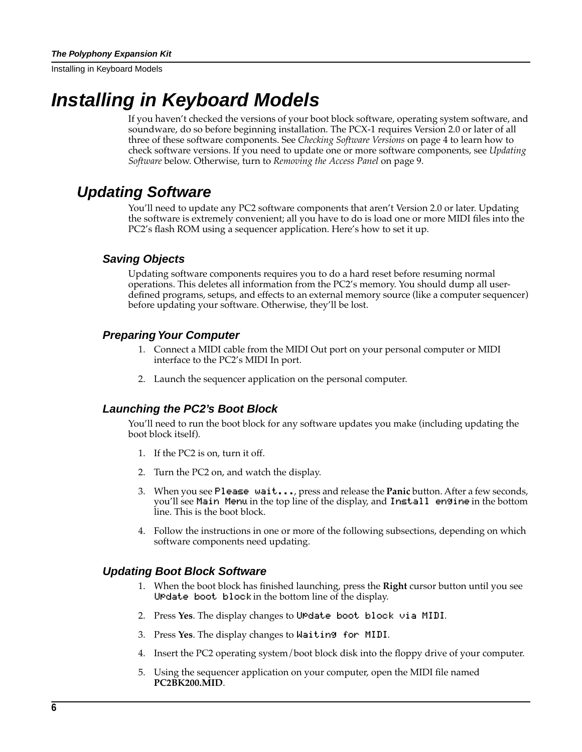# <span id="page-5-0"></span>**Installing in Keyboard Models**

If you haven't checked the versions of your boot block software, operating system software, and soundware, do so before beginning installation. The PCX-1 requires Version 2.0 or later of all three of these software components. See *[Checking Software Versions](#page-3-0)* on [page 4](#page-3-0) to learn how to check software versions. If you need to update one or more software components, see *Updating Software* below. Otherwise, turn to *[Removing the Access Panel](#page-8-0)* on [page 9](#page-8-0).

## **Updating Software**

You'll need to update any PC2 software components that aren't Version 2.0 or later. Updating the software is extremely convenient; all you have to do is load one or more MIDI files into the PC2's flash ROM using a sequencer application. Here's how to set it up.

#### **Saving Objects**

Updating software components requires you to do a hard reset before resuming normal operations. This deletes all information from the PC2's memory. You should dump all userdefined programs, setups, and effects to an external memory source (like a computer sequencer) before updating your software. Otherwise, they'll be lost.

#### **Preparing Your Computer**

- 1. Connect a MIDI cable from the MIDI Out port on your personal computer or MIDI interface to the PC2's MIDI In port.
- 2. Launch the sequencer application on the personal computer.

#### **Launching the PC2's Boot Block**

You'll need to run the boot block for any software updates you make (including updating the boot block itself).

- 1. If the PC2 is on, turn it off.
- 2. Turn the PC2 on, and watch the display.
- 3. When you see Please|wait..., press and release the **Panic** button. After a few seconds, you'll see Main Menu in the top line of the display, and Install engine in the bottom line. This is the boot block.
- 4. Follow the instructions in one or more of the following subsections, depending on which software components need updating.

#### **Updating Boot Block Software**

- 1. When the boot block has finished launching, press the **Right** cursor button until you see UPdate boot block in the bottom line of the display.
- 2. Press Yes. The display changes to UPdate boot block via MIDI.
- 3. Press **Yes**. The display changes to Waiting|for|MIDI.
- 4. Insert the PC2 operating system/boot block disk into the floppy drive of your computer.
- 5. Using the sequencer application on your computer, open the MIDI file named **PC2BK200.MID**.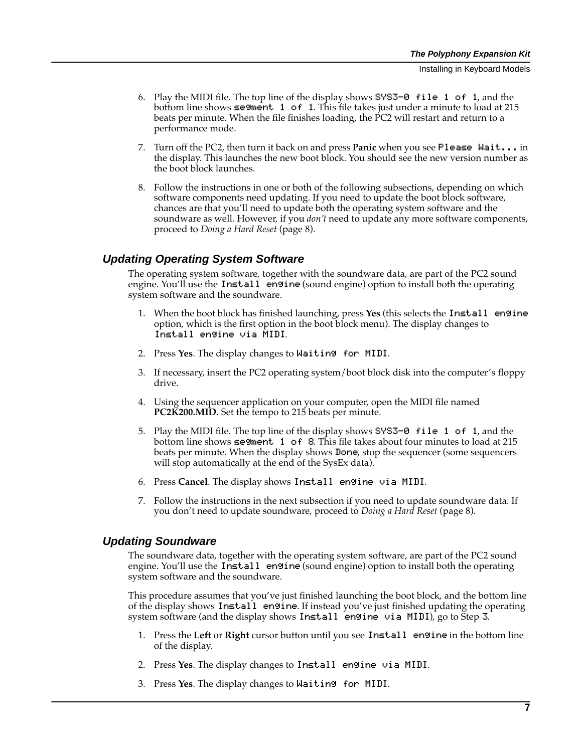- <span id="page-6-0"></span>6. Play the MIDI file. The top line of the display shows  $S<sup>y</sup>S<sup>3</sup>- $\theta$$  file 1 of 1, and the bottom line shows  $\leq$ egment 1 of 1. This file takes just under a minute to load at 215 beats per minute. When the file finishes loading, the PC2 will restart and return to a performance mode.
- 7. Turn off the PC2, then turn it back on and press **Panic** when you see Please|Wait... in the display. This launches the new boot block. You should see the new version number as the boot block launches.
- 8. Follow the instructions in one or both of the following subsections, depending on which software components need updating. If you need to update the boot block software, chances are that you'll need to update both the operating system software and the soundware as well. However, if you *don't* need to update any more software components, proceed to *[Doing a Hard Reset](#page-7-0)* [\(page 8](#page-7-0)).

#### **Updating Operating System Software**

The operating system software, together with the soundware data, are part of the PC2 sound engine. You'll use the Install engine (sound engine) option to install both the operating system software and the soundware.

- 1. When the boot block has finished launching, press **Yes** (this selects the Install|engine option, which is the first option in the boot block menu). The display changes to Install engine via MIDI.
- 2. Press **Yes**. The display changes to Waiting|for|MIDI.
- 3. If necessary, insert the PC2 operating system/boot block disk into the computer's floppy drive.
- 4. Using the sequencer application on your computer, open the MIDI file named **PC2K200.MID**. Set the tempo to 215 beats per minute.
- 5. Play the MIDI file. The top line of the display shows  $S<sup>1</sup>S<sup>-0</sup>$  file 1 of 1, and the bottom line shows  $\epsilon$ egment 1 of 8. This file takes about four minutes to load at 215 beats per minute. When the display shows Done, stop the sequencer (some sequencers will stop automatically at the end of the SysEx data).
- 6. Press **Cancel**. The display shows Install engine via MIDI.
- 7. Follow the instructions in the next subsection if you need to update soundware data. If you don't need to update soundware, proceed to *[Doing a Hard Rese](#page-7-0)t* [\(page](#page-7-0) 8).

#### **Updating Soundware**

The soundware data, together with the operating system software, are part of the PC2 sound engine. You'll use the Install engine (sound engine) option to install both the operating system software and the soundware.

This procedure assumes that you've just finished launching the boot block, and the bottom line of the display shows Install engine. If instead you've just finished updating the operating system software (and the display shows Install engine via MIDI), go to Step 3.

- 1. Press the **Left** or **Right** cursor button until you see Install|engine in the bottom line of the display.
- 2. Press Yes. The display changes to Install engine via MIDI.
- 3. Press **Yes**. The display changes to Waiting|for|MIDI.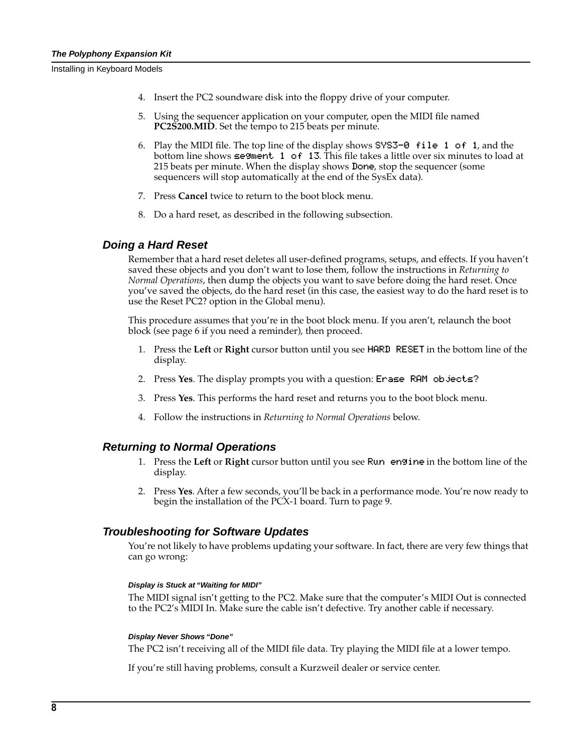- <span id="page-7-0"></span>4. Insert the PC2 soundware disk into the floppy drive of your computer.
- 5. Using the sequencer application on your computer, open the MIDI file named **PC2S200.MID**. Set the tempo to 215 beats per minute.
- 6. Play the MIDI file. The top line of the display shows  $S<sup>1</sup> S<sup>-0</sup>$  file 1 of 1, and the bottom line shows  $\epsilon$ egment 1 of 13. This file takes a little over six minutes to load at 215 beats per minute. When the display shows Done, stop the sequencer (some sequencers will stop automatically at the end of the SysEx data).
- 7. Press **Cancel** twice to return to the boot block menu.
- 8. Do a hard reset, as described in the following subsection.

#### **Doing a Hard Reset**

Remember that a hard reset deletes all user-defined programs, setups, and effects. If you haven't saved these objects and you don't want to lose them, follow the instructions in *Returning to Normal Operations*, then dump the objects you want to save before doing the hard reset. Once you've saved the objects, do the hard reset (in this case, the easiest way to do the hard reset is to use the Reset PC2? option in the Global menu).

This procedure assumes that you're in the boot block menu. If you aren't, relaunch the boot block (see [page 6](#page-5-0) if you need a reminder), then proceed.

- 1. Press the **Left** or **Right** cursor button until you see HARD|RESET in the bottom line of the display.
- 2. Press Yes. The display prompts you with a question: Erase RAM objects?
- 3. Press **Yes**. This performs the hard reset and returns you to the boot block menu.
- 4. Follow the instructions in *Returning to Normal Operations* below.

#### **Returning to Normal Operations**

- 1. Press the **Left** or **Right** cursor button until you see Run|engine in the bottom line of the display.
- 2. Press **Yes**. After a few seconds, you'll be back in a performance mode. You're now ready to begin the installation of the PCX-1 board. Turn to [page 9.](#page-8-0)

#### **Troubleshooting for Software Updates**

You're not likely to have problems updating your software. In fact, there are very few things that can go wrong:

#### **Display is Stuck at "Waiting for MIDI"**

The MIDI signal isn't getting to the PC2. Make sure that the computer's MIDI Out is connected to the PC2's MIDI In. Make sure the cable isn't defective. Try another cable if necessary.

#### **Display Never Shows "Done"**

The PC2 isn't receiving all of the MIDI file data. Try playing the MIDI file at a lower tempo.

If you're still having problems, consult a Kurzweil dealer or service center.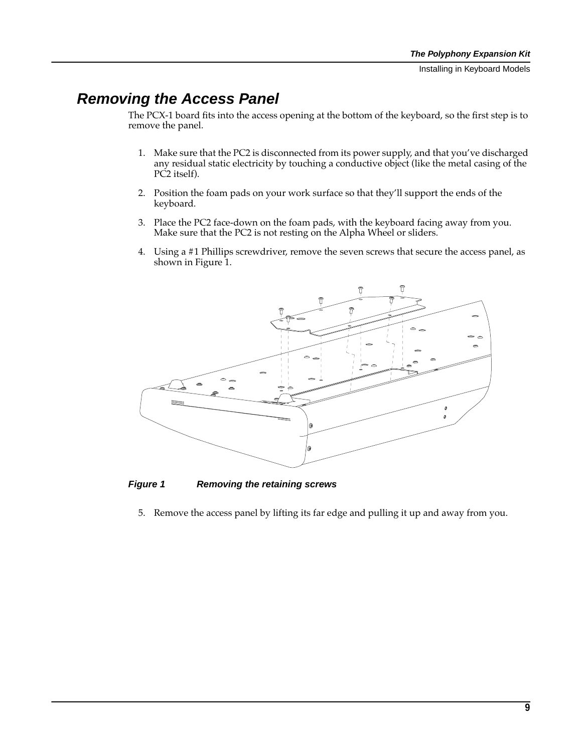# <span id="page-8-0"></span>**Removing the Access Panel**

The PCX-1 board fits into the access opening at the bottom of the keyboard, so the first step is to remove the panel.

- 1. Make sure that the PC2 is disconnected from its power supply, and that you've discharged any residual static electricity by touching a conductive object (like the metal casing of the PC2 itself).
- 2. Position the foam pads on your work surface so that they'll support the ends of the keyboard.
- 3. Place the PC2 face-down on the foam pads, with the keyboard facing away from you. Make sure that the PC2 is not resting on the Alpha Wheel or sliders.
- 4. Using a #1 Phillips screwdriver, remove the seven screws that secure the access panel, as shown in Figure 1.



**Figure 1 Removing the retaining screws**

5. Remove the access panel by lifting its far edge and pulling it up and away from you.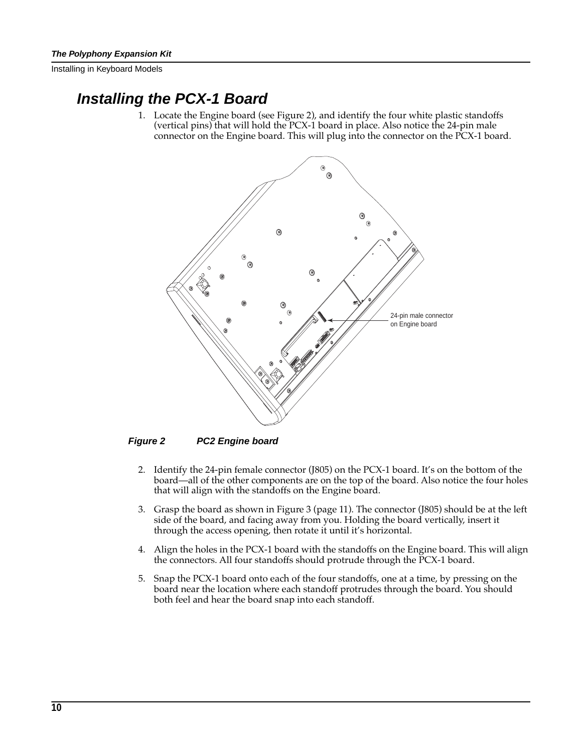## **Installing the PCX-1 Board**

1. Locate the Engine board (see Figure 2), and identify the four white plastic standoffs (vertical pins) that will hold the PCX-1 board in place. Also notice the 24-pin male connector on the Engine board. This will plug into the connector on the PCX-1 board.



**Figure 2 PC2 Engine board**

- 2. Identify the 24-pin female connector (J805) on the PCX-1 board. It's on the bottom of the board—all of the other components are on the top of the board. Also notice the four holes that will align with the standoffs on the Engine board.
- 3. Grasp the board as shown in [Figure 3](#page-10-0) [\(page 11](#page-10-0)). The connector (J805) should be at the left side of the board, and facing away from you. Holding the board vertically, insert it through the access opening, then rotate it until it's horizontal.
- 4. Align the holes in the PCX-1 board with the standoffs on the Engine board. This will align the connectors. All four standoffs should protrude through the PCX-1 board.
- 5. Snap the PCX-1 board onto each of the four standoffs, one at a time, by pressing on the board near the location where each standoff protrudes through the board. You should both feel and hear the board snap into each standoff.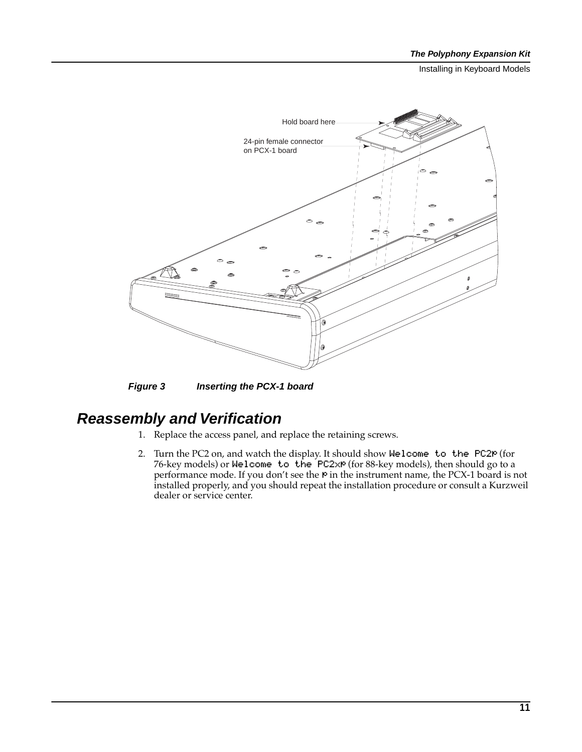<span id="page-10-0"></span>

**Figure 3 Inserting the PCX-1 board**

# **Reassembly and Verification**

- 1. Replace the access panel, and replace the retaining screws.
- 2. Turn the PC2 on, and watch the display. It should show Welcome to the PC2P (for 76-key models) or Welcome to the PC2xP (for 88-key models), then should go to a performance mode. If you don't see the P in the instrument name, the PCX-1 board is not installed properly, and you should repeat the installation procedure or consult a Kurzweil dealer or service center.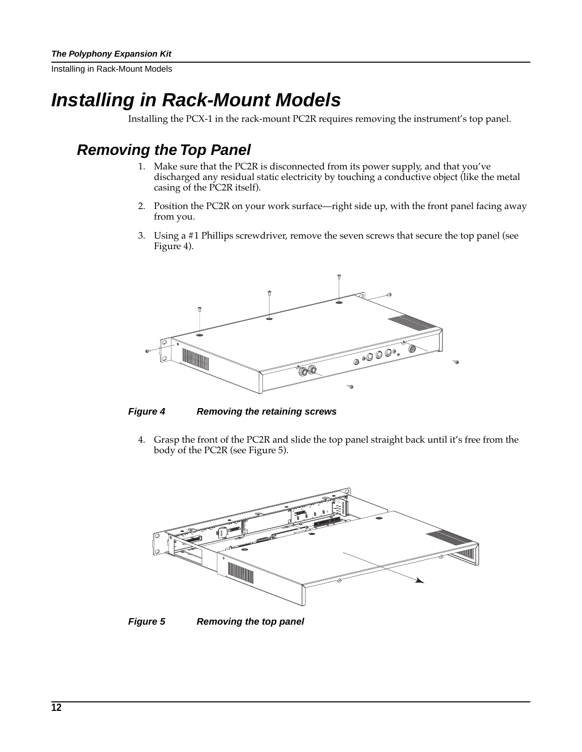<span id="page-11-0"></span>Installing in Rack-Mount Models

# **Installing in Rack-Mount Models**

Installing the PCX-1 in the rack-mount PC2R requires removing the instrument's top panel.

# **Removing the Top Panel**

- 1. Make sure that the PC2R is disconnected from its power supply, and that you've discharged any residual static electricity by touching a conductive object (like the metal casing of the PC2R itself).
- 2. Position the PC2R on your work surface—right side up, with the front panel facing away from you.
- 3. Using a #1 Phillips screwdriver, remove the seven screws that secure the top panel (see Figure 4).



**Figure 4 Removing the retaining screws**

4. Grasp the front of the PC2R and slide the top panel straight back until it's free from the body of the PC2R (see Figure 5).



**Figure 5 Removing the top panel**